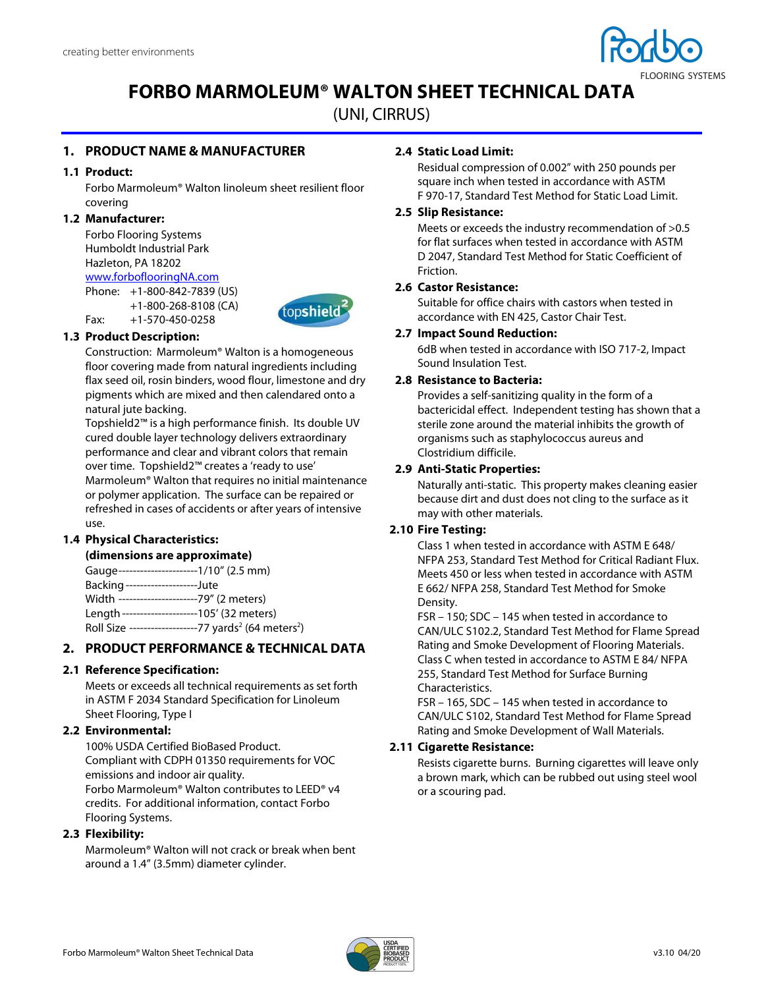

# **FORBO MARMOLEUM® WALTON SHEET TECHNICAL DATA**

(UNI, CIRRUS)

# **1. PRODUCT NAME & MANUFACTURER**

## **1.1 Product:**

Forbo Marmoleum® Walton linoleum sheet resilient floor covering

## **1.2 Manufacturer:**

Forbo Flooring Systems Humboldt Industrial Park Hazleton, PA 18202 www.forboflooringNA.com

Phone: +1-800-842-7839 (US) +1-800-268-8108 (CA) Fax: +1-570-450-0258



## **1.3 Product Description:**

Construction: Marmoleum® Walton is a homogeneous floor covering made from natural ingredients including flax seed oil, rosin binders, wood flour, limestone and dry pigments which are mixed and then calendared onto a natural jute backing.

Topshield2™ is a high performance finish. Its double UV cured double layer technology delivers extraordinary performance and clear and vibrant colors that remain over time. Topshield2™ creates a 'ready to use' Marmoleum® Walton that requires no initial maintenance or polymer application. The surface can be repaired or refreshed in cases of accidents or after years of intensive use.

## **1.4 Physical Characteristics:**

## **(dimensions are approximate)**

Gauge ----------------------1/10" (2.5 mm) Backing --------------------Jute Width ----------------------79" (2 meters) Length ---------------------105' (32 meters) Roll Size -------------------77 yards<sup>2</sup> (64 meters<sup>2</sup>)

## **2. PRODUCT PERFORMANCE & TECHNICAL DATA**

## **2.1 Reference Specification:**

Meets or exceeds all technical requirements as set forth in ASTM F 2034 Standard Specification for Linoleum Sheet Flooring, Type I

## **2.2 Environmental:**

100% USDA Certified BioBased Product. Compliant with CDPH 01350 requirements for VOC emissions and indoor air quality. Forbo Marmoleum® Walton contributes to LEED® v4 credits. For additional information, contact Forbo Flooring Systems.

#### **2.3 Flexibility:**

Marmoleum® Walton will not crack or break when bent around a 1.4" (3.5mm) diameter cylinder.

## **2.4 Static Load Limit:**

Residual compression of 0.002" with 250 pounds per square inch when tested in accordance with ASTM F 970-17, Standard Test Method for Static Load Limit.

#### **2.5 Slip Resistance:**

Meets or exceeds the industry recommendation of >0.5 for flat surfaces when tested in accordance with ASTM D 2047, Standard Test Method for Static Coefficient of Friction.

#### **2.6 Castor Resistance:**

Suitable for office chairs with castors when tested in accordance with EN 425, Castor Chair Test.

#### **2.7 Impact Sound Reduction:**

6dB when tested in accordance with ISO 717-2, Impact Sound Insulation Test.

## **2.8 Resistance to Bacteria:**

Provides a self-sanitizing quality in the form of a bactericidal effect. Independent testing has shown that a sterile zone around the material inhibits the growth of organisms such as staphylococcus aureus and Clostridium difficile.

#### **2.9 Anti-Static Properties:**

Naturally anti-static. This property makes cleaning easier because dirt and dust does not cling to the surface as it may with other materials.

## **2.10 Fire Testing:**

Class 1 when tested in accordance with ASTM E 648/ NFPA 253, Standard Test Method for Critical Radiant Flux. Meets 450 or less when tested in accordance with ASTM E 662/ NFPA 258, Standard Test Method for Smoke Density.

FSR – 150; SDC – 145 when tested in accordance to CAN/ULC S102.2, Standard Test Method for Flame Spread Rating and Smoke Development of Flooring Materials. Class C when tested in accordance to ASTM E 84/ NFPA 255, Standard Test Method for Surface Burning Characteristics.

FSR – 165, SDC – 145 when tested in accordance to CAN/ULC S102, Standard Test Method for Flame Spread Rating and Smoke Development of Wall Materials.

## **2.11 Cigarette Resistance:**

Resists cigarette burns. Burning cigarettes will leave only a brown mark, which can be rubbed out using steel wool or a scouring pad.